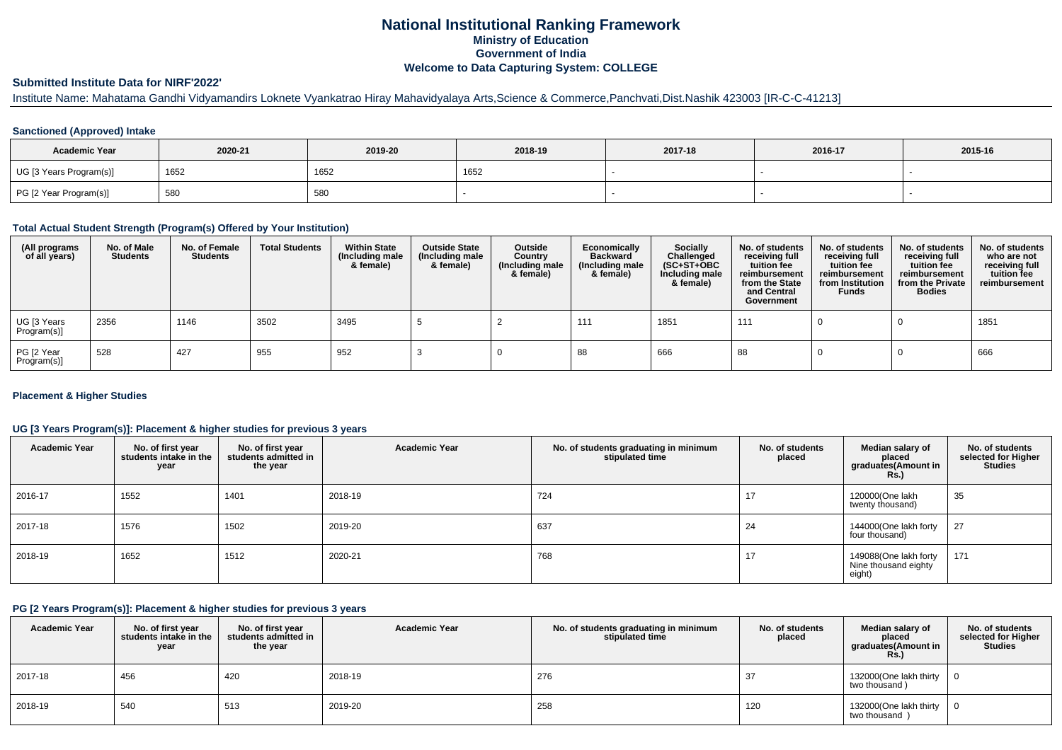## **National Institutional Ranking FrameworkMinistry of Education Government of IndiaWelcome to Data Capturing System: COLLEGE**

# **Submitted Institute Data for NIRF'2022'**

# Institute Name: Mahatama Gandhi Vidyamandirs Loknete Vyankatrao Hiray Mahavidyalaya Arts,Science & Commerce,Panchvati,Dist.Nashik 423003 [IR-C-C-41213]

## **Sanctioned (Approved) Intake**

| <b>Academic Year</b>    | 2020-21 | 2019-20 | 2018-19 | 2017-18 | 2016-17 | 2015-16 |
|-------------------------|---------|---------|---------|---------|---------|---------|
| UG [3 Years Program(s)] | 1652    | 1652    | 1652    |         |         |         |
| PG [2 Year Program(s)]  | 580     | 580     |         |         |         |         |

#### **Total Actual Student Strength (Program(s) Offered by Your Institution)**

| (All programs<br>of all years) | No. of Male<br><b>Students</b> | No. of Female<br>Students | <b>Total Students</b> | <b>Within State</b><br>(Including male<br>& female) | <b>Outside State</b><br>(Including male<br>& female) | Outside<br>Country<br>(Including male<br>& female) | Economically<br><b>Backward</b><br>(Including male<br>& female) | Socially<br>Challenged<br>$(SC+ST+OBC)$<br>Including male<br>& female) | No. of students<br>receiving full<br>tuition fee<br>reimbursement<br>from the State<br>and Central<br>Government | No. of students<br>receiving full<br>tuition fee<br>reimbursement<br>from Institution<br><b>Funds</b> | No. of students<br>receiving full<br>tuition fee<br>reimbursement<br>from the Private<br><b>Bodies</b> | No. of students<br>who are not<br>receiving full<br>tuition fee<br>reimbursement |
|--------------------------------|--------------------------------|---------------------------|-----------------------|-----------------------------------------------------|------------------------------------------------------|----------------------------------------------------|-----------------------------------------------------------------|------------------------------------------------------------------------|------------------------------------------------------------------------------------------------------------------|-------------------------------------------------------------------------------------------------------|--------------------------------------------------------------------------------------------------------|----------------------------------------------------------------------------------|
| UG [3 Years<br>Program(s)]     | 2356                           | 1146                      | 3502                  | 3495                                                |                                                      |                                                    | 111                                                             | 1851                                                                   | 111                                                                                                              |                                                                                                       |                                                                                                        | 1851                                                                             |
| PG [2 Year<br>Program(s)]      | 528                            | 427                       | 955                   | 952                                                 |                                                      |                                                    | 88                                                              | 666                                                                    | 88                                                                                                               |                                                                                                       |                                                                                                        | 666                                                                              |

## **Placement & Higher Studies**

#### **UG [3 Years Program(s)]: Placement & higher studies for previous 3 years**

| <b>Academic Year</b> | No. of first year<br>students intake in the<br>year | No. of first year<br>students admitted in<br>the year | <b>Academic Year</b> | No. of students graduating in minimum<br>stipulated time | No. of students<br>placed | Median salary of<br>placed<br>graduates(Amount in<br>Rs. | No. of students<br>selected for Higher<br><b>Studies</b> |
|----------------------|-----------------------------------------------------|-------------------------------------------------------|----------------------|----------------------------------------------------------|---------------------------|----------------------------------------------------------|----------------------------------------------------------|
| 2016-17              | 1552                                                | 1401                                                  | 2018-19              | 724                                                      | 17                        | 120000(One lakh<br>twenty thousand)                      | 35                                                       |
| 2017-18              | 1576                                                | 1502                                                  | 2019-20              | 637                                                      | 24                        | 144000(One lakh forty<br>four thousand)                  | 27                                                       |
| 2018-19              | 1652                                                | 1512                                                  | 2020-21              | 768                                                      | 17                        | 149088(One lakh forty<br>Nine thousand eighty<br>eight)  | 171                                                      |

### **PG [2 Years Program(s)]: Placement & higher studies for previous 3 years**

| <b>Academic Year</b> | No. of first year<br>students intake in the<br>year | No. of first vear<br>students admitted in<br>the year | <b>Academic Year</b> | No. of students graduating in minimum<br>stipulated time | No. of students<br>placed | Median salary of<br>placed<br>graduates(Amount in<br><b>Rs.</b> ) | No. of students<br>selected for Higher<br>Studies |
|----------------------|-----------------------------------------------------|-------------------------------------------------------|----------------------|----------------------------------------------------------|---------------------------|-------------------------------------------------------------------|---------------------------------------------------|
| 2017-18              | 456                                                 | 420                                                   | 2018-19              | 276                                                      |                           | 132000(One lakh thirty<br>two thousand)                           |                                                   |
| 2018-19              | 540                                                 | 513                                                   | 2019-20              | 258                                                      | 120                       | 132000(One lakh thirty<br>two thousand)                           |                                                   |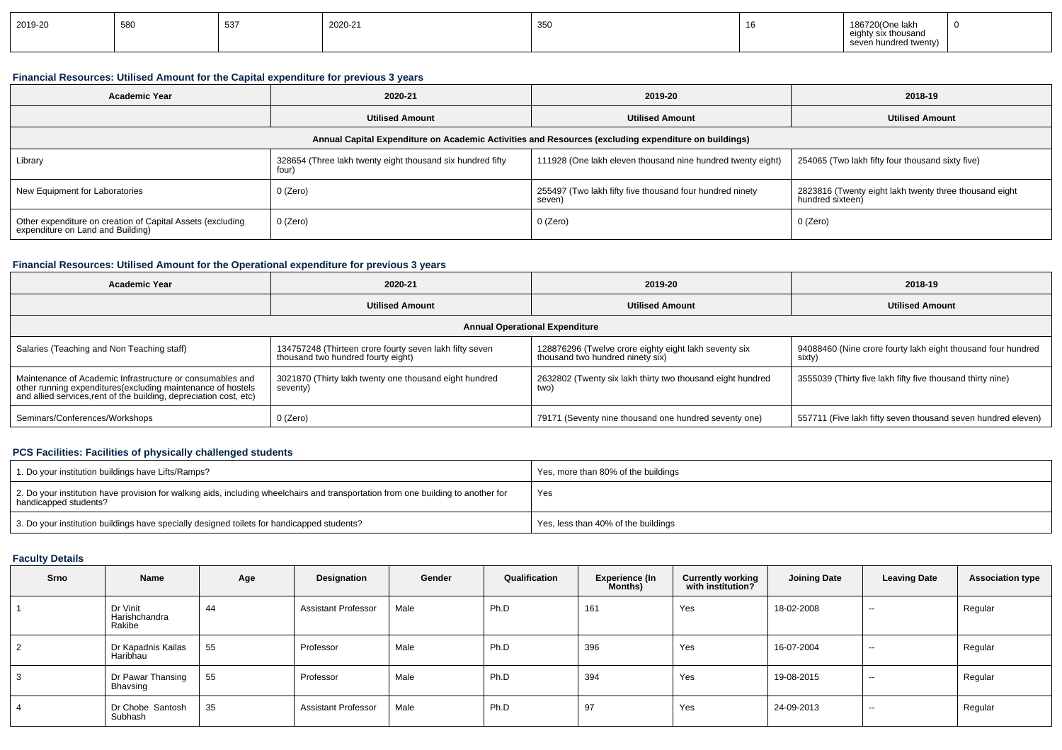| 2019-20 | 580 | 527<br>ັບບາ | 2020-21 | 350 |  | 186720(One lakh<br>the contract of the contract of the contract of<br>eighty six thousand<br>seven hundred twenty) |  |
|---------|-----|-------------|---------|-----|--|--------------------------------------------------------------------------------------------------------------------|--|
|---------|-----|-------------|---------|-----|--|--------------------------------------------------------------------------------------------------------------------|--|

## **Financial Resources: Utilised Amount for the Capital expenditure for previous 3 years**

| Academic Year                                                                                   | 2020-21                                                             | 2019-20                                                                                              | 2018-19                                                                    |  |  |
|-------------------------------------------------------------------------------------------------|---------------------------------------------------------------------|------------------------------------------------------------------------------------------------------|----------------------------------------------------------------------------|--|--|
|                                                                                                 | <b>Utilised Amount</b>                                              | <b>Utilised Amount</b>                                                                               | <b>Utilised Amount</b>                                                     |  |  |
|                                                                                                 |                                                                     | Annual Capital Expenditure on Academic Activities and Resources (excluding expenditure on buildings) |                                                                            |  |  |
| Library                                                                                         | 328654 (Three lakh twenty eight thousand six hundred fifty<br>four) | 111928 (One lakh eleven thousand nine hundred twenty eight)                                          | 254065 (Two lakh fifty four thousand sixty five)                           |  |  |
| New Equipment for Laboratories                                                                  | 0 (Zero)                                                            | 255497 (Two lakh fifty five thousand four hundred ninety<br>seven)                                   | 2823816 (Twenty eight lakh twenty three thousand eight<br>hundred sixteen) |  |  |
| Other expenditure on creation of Capital Assets (excluding<br>expenditure on Land and Building) | 0 (Zero)                                                            | 0 (Zero)                                                                                             | 0 (Zero)                                                                   |  |  |

## **Financial Resources: Utilised Amount for the Operational expenditure for previous 3 years**

| <b>Academic Year</b>                                                                                                                                                                           | 2020-21                                                                                       |                                                                                           | 2018-19                                                                |
|------------------------------------------------------------------------------------------------------------------------------------------------------------------------------------------------|-----------------------------------------------------------------------------------------------|-------------------------------------------------------------------------------------------|------------------------------------------------------------------------|
|                                                                                                                                                                                                | <b>Utilised Amount</b>                                                                        | <b>Utilised Amount</b>                                                                    | <b>Utilised Amount</b>                                                 |
|                                                                                                                                                                                                |                                                                                               | <b>Annual Operational Expenditure</b>                                                     |                                                                        |
| Salaries (Teaching and Non Teaching staff)                                                                                                                                                     | 134757248 (Thirteen crore fourty seven lakh fifty seven<br>thousand two hundred fourty eight) | 128876296 (Twelve crore eighty eight lakh seventy six<br>thousand two hundred ninety six) | 94088460 (Nine crore fourty lakh eight thousand four hundred<br>sixty) |
| Maintenance of Academic Infrastructure or consumables and<br>other running expenditures(excluding maintenance of hostels<br>and allied services, rent of the building, depreciation cost, etc) | 3021870 (Thirty lakh twenty one thousand eight hundred<br>seventy)                            | 2632802 (Twenty six lakh thirty two thousand eight hundred<br>two)                        | 3555039 (Thirty five lakh fifty five thousand thirty nine)             |
| Seminars/Conferences/Workshops                                                                                                                                                                 | 0 (Zero)                                                                                      | 79171 (Seventy nine thousand one hundred seventy one)                                     | 557711 (Five lakh fifty seven thousand seven hundred eleven)           |

## **PCS Facilities: Facilities of physically challenged students**

| 1. Do your institution buildings have Lifts/Ramps?                                                                                                         | Yes, more than 80% of the buildings |
|------------------------------------------------------------------------------------------------------------------------------------------------------------|-------------------------------------|
| 2. Do your institution have provision for walking aids, including wheelchairs and transportation from one building to another for<br>handicapped students? | Yes                                 |
| 3. Do your institution buildings have specially designed toilets for handicapped students?                                                                 | Yes, less than 40% of the buildings |

## **Faculty Details**

| Srno | Name                                | Age | Designation                | Gender | Qualification | <b>Experience (In</b><br>Months) | <b>Currently working</b><br>with institution? | <b>Joining Date</b> | <b>Leaving Date</b> | <b>Association type</b> |
|------|-------------------------------------|-----|----------------------------|--------|---------------|----------------------------------|-----------------------------------------------|---------------------|---------------------|-------------------------|
|      | Dr Vinit<br>Harishchandra<br>Rakibe | 44  | <b>Assistant Professor</b> | Male   | Ph.D          | 161                              | Yes                                           | 18-02-2008          | $-$                 | Regular                 |
|      | Dr Kapadnis Kailas<br>Haribhau      | 55  | Professor                  | Male   | Ph.D          | 396                              | Yes                                           | 16-07-2004          | $-$                 | Regular                 |
|      | Dr Pawar Thansing<br>Bhavsing       | 55  | Professor                  | Male   | Ph.D          | 394                              | Yes                                           | 19-08-2015          | $-$                 | Regular                 |
|      | Dr Chobe Santosh<br>Subhash         | 35  | <b>Assistant Professor</b> | Male   | Ph.D          | 97                               | Yes                                           | 24-09-2013          | $-$                 | Regular                 |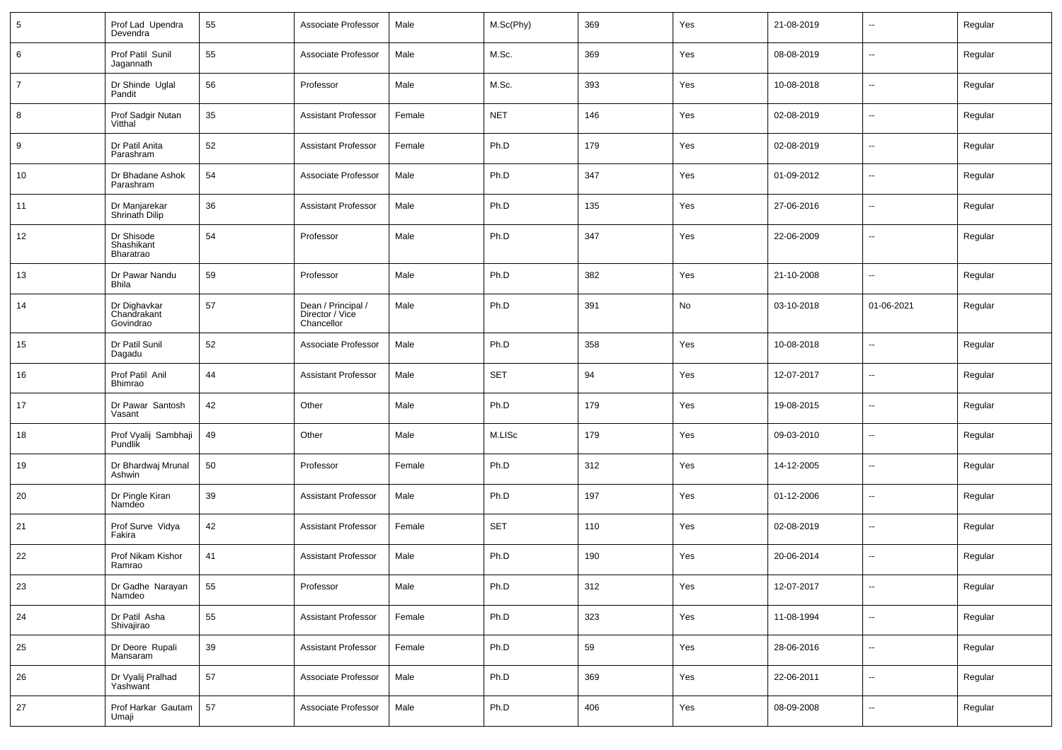| 5              | Prof Lad Upendra<br>Devendra             | 55 | Associate Professor                                 | Male   | M.Sc(Phy)  | 369 | Yes | 21-08-2019 | $\mathbf{u}$             | Regular |
|----------------|------------------------------------------|----|-----------------------------------------------------|--------|------------|-----|-----|------------|--------------------------|---------|
| 6              | Prof Patil Sunil<br>Jagannath            | 55 | Associate Professor                                 | Male   | M.Sc.      | 369 | Yes | 08-08-2019 | $\sim$                   | Regular |
| $\overline{7}$ | Dr Shinde Uglal<br>Pandit                | 56 | Professor                                           | Male   | M.Sc.      | 393 | Yes | 10-08-2018 | $\sim$                   | Regular |
| 8              | Prof Sadgir Nutan<br>Vitthal             | 35 | <b>Assistant Professor</b>                          | Female | <b>NET</b> | 146 | Yes | 02-08-2019 | $\sim$                   | Regular |
| 9              | Dr Patil Anita<br>Parashram              | 52 | <b>Assistant Professor</b>                          | Female | Ph.D       | 179 | Yes | 02-08-2019 | $\sim$                   | Regular |
| 10             | Dr Bhadane Ashok<br>Parashram            | 54 | Associate Professor                                 | Male   | Ph.D       | 347 | Yes | 01-09-2012 | $\sim$                   | Regular |
| 11             | Dr Manjarekar<br>Shrinath Dilip          | 36 | <b>Assistant Professor</b>                          | Male   | Ph.D       | 135 | Yes | 27-06-2016 | $\sim$                   | Regular |
| 12             | Dr Shisode<br>Shashikant<br>Bharatrao    | 54 | Professor                                           | Male   | Ph.D       | 347 | Yes | 22-06-2009 | $\overline{\phantom{a}}$ | Regular |
| 13             | Dr Pawar Nandu<br><b>Bhila</b>           | 59 | Professor                                           | Male   | Ph.D       | 382 | Yes | 21-10-2008 | $\mathbf{u}$             | Regular |
| 14             | Dr Dighavkar<br>Chandrakant<br>Govindrao | 57 | Dean / Principal /<br>Director / Vice<br>Chancellor | Male   | Ph.D       | 391 | No  | 03-10-2018 | 01-06-2021               | Regular |
| 15             | Dr Patil Sunil<br>Dagadu                 | 52 | Associate Professor                                 | Male   | Ph.D       | 358 | Yes | 10-08-2018 | $\mathbf{u}$             | Regular |
| 16             | Prof Patil Anil<br>Bhimrao               | 44 | <b>Assistant Professor</b>                          | Male   | <b>SET</b> | 94  | Yes | 12-07-2017 | $\sim$                   | Regular |
| 17             | Dr Pawar Santosh<br>Vasant               | 42 | Other                                               | Male   | Ph.D       | 179 | Yes | 19-08-2015 | $\mathbf{u}$             | Regular |
| 18             | Prof Vyalij Sambhaji<br>Pundlik          | 49 | Other                                               | Male   | M.LISc     | 179 | Yes | 09-03-2010 | --                       | Regular |
| 19             | Dr Bhardwaj Mrunal<br>Ashwin             | 50 | Professor                                           | Female | Ph.D       | 312 | Yes | 14-12-2005 | $\mathbf{u}$             | Regular |
| 20             | Dr Pingle Kiran<br>Namdeo                | 39 | <b>Assistant Professor</b>                          | Male   | Ph.D       | 197 | Yes | 01-12-2006 | $\overline{\phantom{a}}$ | Regular |
| 21             | Prof Surve Vidya<br>Fakira               | 42 | <b>Assistant Professor</b>                          | Female | <b>SET</b> | 110 | Yes | 02-08-2019 | $\mathbf{u}$             | Regular |
| 22             | Prof Nikam Kishor<br>Ramrao              | 41 | <b>Assistant Professor</b>                          | Male   | Ph.D       | 190 | Yes | 20-06-2014 | $\overline{\phantom{a}}$ | Regular |
| 23             | Dr Gadhe Narayan<br>Namdeo               | 55 | Professor                                           | Male   | Ph.D       | 312 | Yes | 12-07-2017 | $\overline{\phantom{a}}$ | Regular |
| 24             | Dr Patil Asha<br>Shivajirao              | 55 | <b>Assistant Professor</b>                          | Female | Ph.D       | 323 | Yes | 11-08-1994 | $\sim$                   | Regular |
| 25             | Dr Deore Rupali<br>Mansaram              | 39 | <b>Assistant Professor</b>                          | Female | Ph.D       | 59  | Yes | 28-06-2016 | ÷.                       | Regular |
| 26             | Dr Vyalij Pralhad<br>Yashwant            | 57 | Associate Professor                                 | Male   | Ph.D       | 369 | Yes | 22-06-2011 | $\sim$                   | Regular |
| $27\,$         | Prof Harkar Gautam<br>Umaji              | 57 | Associate Professor                                 | Male   | Ph.D       | 406 | Yes | 08-09-2008 | Ξ.                       | Regular |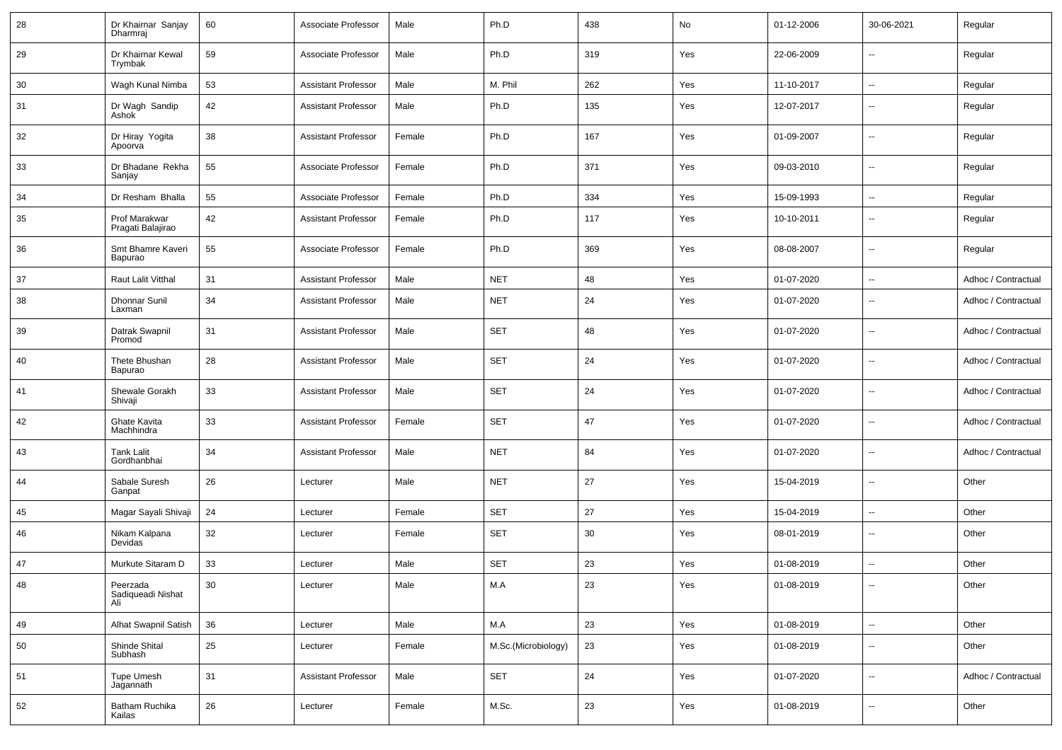| 28 | Dr Khairnar Sanjay<br>Dharmraj       | 60     | Associate Professor        | Male   | Ph.D                | 438 | No  | 01-12-2006 | 30-06-2021               | Regular             |
|----|--------------------------------------|--------|----------------------------|--------|---------------------|-----|-----|------------|--------------------------|---------------------|
| 29 | Dr Khairnar Kewal<br>Trymbak         | 59     | Associate Professor        | Male   | Ph.D                | 319 | Yes | 22-06-2009 | ⊶.                       | Regular             |
| 30 | Wagh Kunal Nimba                     | 53     | <b>Assistant Professor</b> | Male   | M. Phil             | 262 | Yes | 11-10-2017 | -−                       | Regular             |
| 31 | Dr Wagh Sandip<br>Ashok              | 42     | <b>Assistant Professor</b> | Male   | Ph.D                | 135 | Yes | 12-07-2017 | ⊷.                       | Regular             |
| 32 | Dr Hiray Yogita<br>Apoorva           | 38     | <b>Assistant Professor</b> | Female | Ph.D                | 167 | Yes | 01-09-2007 | $\overline{\phantom{a}}$ | Regular             |
| 33 | Dr Bhadane Rekha<br>Sanjay           | 55     | Associate Professor        | Female | Ph.D                | 371 | Yes | 09-03-2010 | $\overline{\phantom{a}}$ | Regular             |
| 34 | Dr Resham Bhalla                     | 55     | Associate Professor        | Female | Ph.D                | 334 | Yes | 15-09-1993 | $\sim$                   | Regular             |
| 35 | Prof Marakwar<br>Pragati Balajirao   | 42     | <b>Assistant Professor</b> | Female | Ph.D                | 117 | Yes | 10-10-2011 | --                       | Regular             |
| 36 | Smt Bhamre Kaveri<br>Bapurao         | 55     | Associate Professor        | Female | Ph.D                | 369 | Yes | 08-08-2007 | $\overline{\phantom{a}}$ | Regular             |
| 37 | Raut Lalit Vitthal                   | 31     | <b>Assistant Professor</b> | Male   | <b>NET</b>          | 48  | Yes | 01-07-2020 | ⊷.                       | Adhoc / Contractual |
| 38 | Dhonnar Sunil<br>Laxman              | 34     | <b>Assistant Professor</b> | Male   | <b>NET</b>          | 24  | Yes | 01-07-2020 | --                       | Adhoc / Contractual |
| 39 | Datrak Swapnil<br>Promod             | 31     | <b>Assistant Professor</b> | Male   | <b>SET</b>          | 48  | Yes | 01-07-2020 | --                       | Adhoc / Contractual |
| 40 | Thete Bhushan<br>Bapurao             | 28     | <b>Assistant Professor</b> | Male   | <b>SET</b>          | 24  | Yes | 01-07-2020 | -−                       | Adhoc / Contractual |
| 41 | Shewale Gorakh<br>Shivaji            | 33     | Assistant Professor        | Male   | <b>SET</b>          | 24  | Yes | 01-07-2020 | -−                       | Adhoc / Contractual |
| 42 | Ghate Kavita<br>Machhindra           | 33     | <b>Assistant Professor</b> | Female | <b>SET</b>          | 47  | Yes | 01-07-2020 | --                       | Adhoc / Contractual |
| 43 | <b>Tank Lalit</b><br>Gordhanbhai     | 34     | <b>Assistant Professor</b> | Male   | <b>NET</b>          | 84  | Yes | 01-07-2020 | -−                       | Adhoc / Contractual |
| 44 | Sabale Suresh<br>Ganpat              | 26     | Lecturer                   | Male   | <b>NET</b>          | 27  | Yes | 15-04-2019 | -−                       | Other               |
| 45 | Magar Sayali Shivaji                 | 24     | Lecturer                   | Female | <b>SET</b>          | 27  | Yes | 15-04-2019 | -−                       | Other               |
| 46 | Nikam Kalpana<br>Devidas             | 32     | Lecturer                   | Female | <b>SET</b>          | 30  | Yes | 08-01-2019 | ⊷.                       | Other               |
| 47 | Murkute Sitaram D                    | 33     | Lecturer                   | Male   | <b>SET</b>          | 23  | Yes | 01-08-2019 | ÷.                       | Other               |
| 48 | Peerzada<br>Sadiqueadi Nishat<br>Ali | $30\,$ | Lecturer                   | Male   | M.A                 | 23  | Yes | 01-08-2019 | $\overline{\phantom{a}}$ | Other               |
| 49 | Alhat Swapnil Satish                 | 36     | Lecturer                   | Male   | M.A                 | 23  | Yes | 01-08-2019 | ц.                       | Other               |
| 50 | Shinde Shital<br>Subhash             | $25\,$ | Lecturer                   | Female | M.Sc.(Microbiology) | 23  | Yes | 01-08-2019 | $\overline{\phantom{a}}$ | Other               |
| 51 | Tupe Umesh<br>Jagannath              | 31     | <b>Assistant Professor</b> | Male   | <b>SET</b>          | 24  | Yes | 01-07-2020 | $\overline{\phantom{a}}$ | Adhoc / Contractual |
| 52 | Batham Ruchika<br>Kailas             | 26     | Lecturer                   | Female | M.Sc.               | 23  | Yes | 01-08-2019 | $\overline{\phantom{a}}$ | Other               |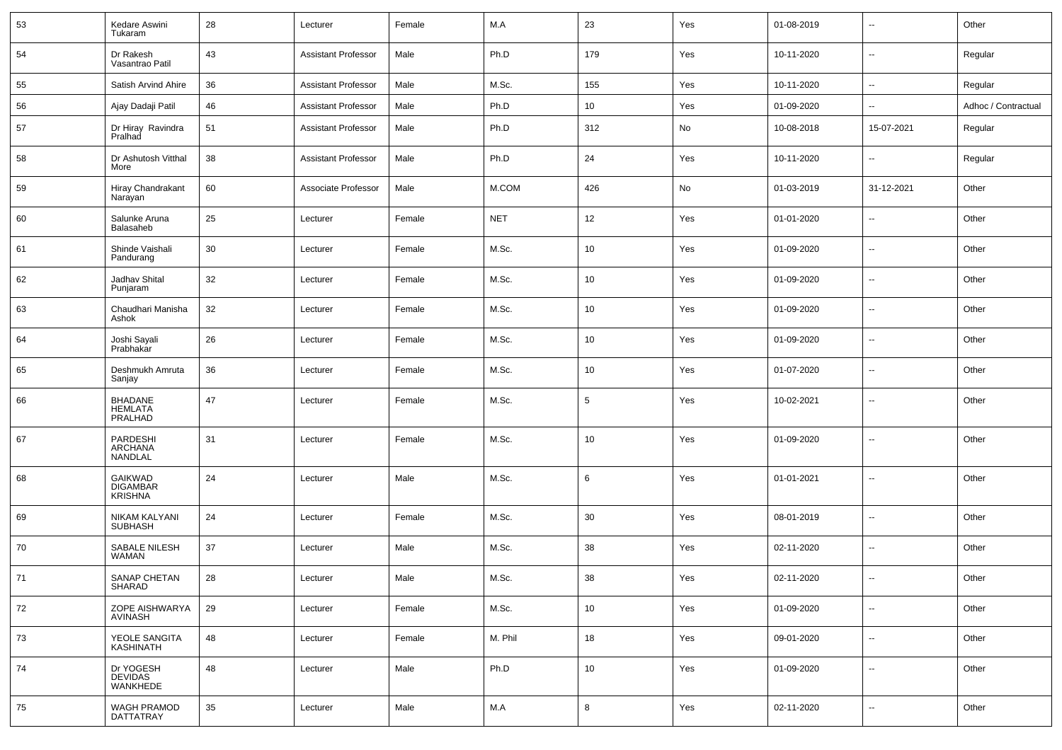| 53 | Kedare Aswini<br>Tukaram                     | 28     | Lecturer                   | Female | M.A         | 23     | Yes | 01-08-2019 | $\sim$                   | Other               |
|----|----------------------------------------------|--------|----------------------------|--------|-------------|--------|-----|------------|--------------------------|---------------------|
| 54 | Dr Rakesh<br>Vasantrao Patil                 | 43     | <b>Assistant Professor</b> | Male   | Ph.D        | 179    | Yes | 10-11-2020 | $\sim$                   | Regular             |
| 55 | Satish Arvind Ahire                          | 36     | <b>Assistant Professor</b> | Male   | M.Sc.       | 155    | Yes | 10-11-2020 | $\sim$                   | Regular             |
| 56 | Ajay Dadaji Patil                            | 46     | <b>Assistant Professor</b> | Male   | Ph.D        | 10     | Yes | 01-09-2020 | --                       | Adhoc / Contractual |
| 57 | Dr Hiray Ravindra<br>Pralhad                 | 51     | <b>Assistant Professor</b> | Male   | Ph.D        | 312    | No  | 10-08-2018 | 15-07-2021               | Regular             |
| 58 | Dr Ashutosh Vitthal<br>More                  | 38     | <b>Assistant Professor</b> | Male   | Ph.D        | 24     | Yes | 10-11-2020 | $\overline{\phantom{a}}$ | Regular             |
| 59 | Hiray Chandrakant<br>Narayan                 | 60     | Associate Professor        | Male   | M.COM       | 426    | No  | 01-03-2019 | 31-12-2021               | Other               |
| 60 | Salunke Aruna<br>Balasaheb                   | 25     | Lecturer                   | Female | <b>NET</b>  | 12     | Yes | 01-01-2020 | $\overline{\phantom{a}}$ | Other               |
| 61 | Shinde Vaishali<br>Pandurang                 | 30     | Lecturer                   | Female | M.Sc.       | 10     | Yes | 01-09-2020 | $\sim$                   | Other               |
| 62 | Jadhav Shital<br>Punjaram                    | 32     | Lecturer                   | Female | M.Sc.       | 10     | Yes | 01-09-2020 | $\overline{\phantom{a}}$ | Other               |
| 63 | Chaudhari Manisha<br>Ashok                   | 32     | Lecturer                   | Female | M.Sc.       | 10     | Yes | 01-09-2020 | $\sim$                   | Other               |
| 64 | Joshi Sayali<br>Prabhakar                    | 26     | Lecturer                   | Female | M.Sc.       | 10     | Yes | 01-09-2020 | $\overline{\phantom{a}}$ | Other               |
| 65 | Deshmukh Amruta<br>Sanjay                    | 36     | Lecturer                   | Female | M.Sc.       | 10     | Yes | 01-07-2020 | $\sim$                   | Other               |
| 66 | <b>BHADANE</b><br><b>HEMLATA</b><br>PRALHAD  | 47     | Lecturer                   | Female | M.Sc.       | 5      | Yes | 10-02-2021 | $\overline{\phantom{a}}$ | Other               |
| 67 | PARDESHI<br>ARCHANA<br><b>NANDLAL</b>        | 31     | Lecturer                   | Female | M.Sc.       | 10     | Yes | 01-09-2020 | --                       | Other               |
| 68 | GAIKWAD<br><b>DIGAMBAR</b><br><b>KRISHNA</b> | 24     | Lecturer                   | Male   | M.Sc.       | 6      | Yes | 01-01-2021 | $\sim$                   | Other               |
| 69 | NIKAM KALYANI<br><b>SUBHASH</b>              | 24     | Lecturer                   | Female | M.Sc.       | 30     | Yes | 08-01-2019 | $\sim$                   | Other               |
| 70 | SABALE NILESH<br><b>WAMAN</b>                | 37     | Lecturer                   | Male   | M.Sc.       | 38     | Yes | 02-11-2020 | $\sim$                   | Other               |
| 71 | SANAP CHETAN<br>SHARAD                       | 28     | Lecturer                   | Male   | M.Sc.       | $38\,$ | Yes | 02-11-2020 |                          | Other               |
| 72 | ZOPE AISHWARYA<br>AVINASH                    | 29     | Lecturer                   | Female | M.Sc.       | 10     | Yes | 01-09-2020 | $\sim$                   | Other               |
| 73 | YEOLE SANGITA<br><b>KASHINATH</b>            | 48     | Lecturer                   | Female | M. Phil     | 18     | Yes | 09-01-2020 | $\sim$                   | Other               |
| 74 | Dr YOGESH<br>DEVIDAS<br>WANKHEDE             | 48     | Lecturer                   | Male   | Ph.D        | 10     | Yes | 01-09-2020 | $\sim$                   | Other               |
| 75 | WAGH PRAMOD<br><b>DATTATRAY</b>              | $35\,$ | Lecturer                   | Male   | ${\sf M.A}$ | 8      | Yes | 02-11-2020 | $\sim$                   | Other               |